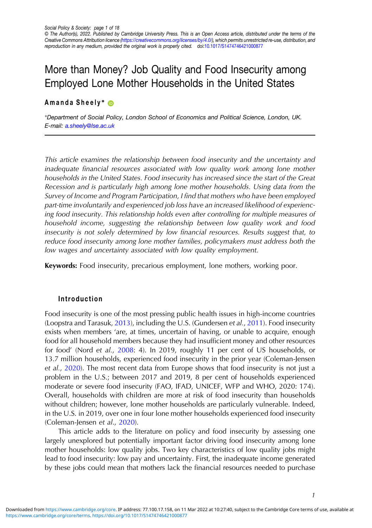# More than Money? Job Quality and Food Insecurity among Employed Lone Mother Households in the United States

## Amanda Sheely<sup>\*</sup> <sup>®</sup>

∗Department of Social Policy, London School of Economics and Political Science, London, UK. E-mail: [a.sheely@lse.ac.uk](mailto:a.sheely@lse.ac.uk)

This article examines the relationship between food insecurity and the uncertainty and inadequate financial resources associated with low quality work among lone mother households in the United States. Food insecurity has increased since the start of the Great Recession and is particularly high among lone mother households. Using data from the Survey of Income and Program Participation, I find that mothers who have been employed part-time involuntarily and experienced job loss have an increased likelihood of experiencing food insecurity. This relationship holds even after controlling for multiple measures of household income, suggesting the relationship between low quality work and food insecurity is not solely determined by low financial resources. Results suggest that, to reduce food insecurity among lone mother families, policymakers must address both the low wages and uncertainty associated with low quality employment.

Keywords: Food insecurity, precarious employment, lone mothers, working poor.

## Introduction

Food insecurity is one of the most pressing public health issues in high-income countries (Loopstra and Tarasuk, [2013](#page-16-0)), including the U.S. (Gundersen et al., [2011\)](#page-15-0). Food insecurity exists when members 'are, at times, uncertain of having, or unable to acquire, enough food for all household members because they had insufficient money and other resources for food' (Nord et al., [2008](#page-16-0): 4). In 2019, roughly 11 per cent of US households, or 13.7 million households, experienced food insecurity in the prior year (Coleman-Jensen et al., [2020\)](#page-14-0). The most recent data from Europe shows that food insecurity is not just a problem in the U.S.; between 2017 and 2019, 8 per cent of households experienced moderate or severe food insecurity (FAO, IFAD, UNICEF, WFP and WHO, 2020: 174). Overall, households with children are more at risk of food insecurity than households without children; however, lone mother households are particularly vulnerable. Indeed, in the U.S. in 2019, over one in four lone mother households experienced food insecurity (Coleman-Jensen et al., [2020\)](#page-14-0).

This article adds to the literature on policy and food insecurity by assessing one largely unexplored but potentially important factor driving food insecurity among lone mother households: low quality jobs. Two key characteristics of low quality jobs might lead to food insecurity: low pay and uncertainty. First, the inadequate income generated by these jobs could mean that mothers lack the financial resources needed to purchase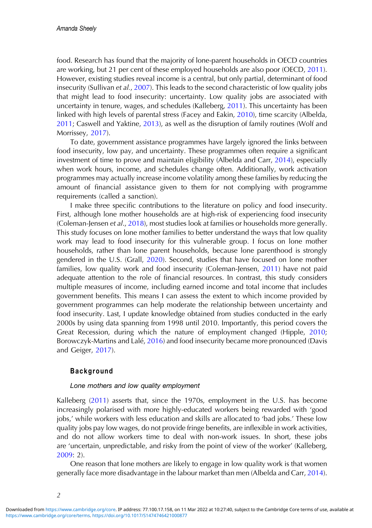food. Research has found that the majority of lone-parent households in OECD countries are working, but 21 per cent of these employed households are also poor (OECD, [2011\)](#page-16-0). However, existing studies reveal income is a central, but only partial, determinant of food insecurity (Sullivan et al., [2007\)](#page-16-0). This leads to the second characteristic of low quality jobs that might lead to food insecurity: uncertainty. Low quality jobs are associated with uncertainty in tenure, wages, and schedules (Kalleberg, [2011](#page-15-0)). This uncertainty has been linked with high levels of parental stress (Facey and Eakin, [2010](#page-15-0)), time scarcity (Albelda, [2011](#page-14-0); Caswell and Yaktine, [2013](#page-14-0)), as well as the disruption of family routines (Wolf and Morrissey, [2017](#page-17-0)).

To date, government assistance programmes have largely ignored the links between food insecurity, low pay, and uncertainty. These programmes often require a significant investment of time to prove and maintain eligibility (Albelda and Carr, [2014\)](#page-14-0), especially when work hours, income, and schedules change often. Additionally, work activation programmes may actually increase income volatility among these families by reducing the amount of financial assistance given to them for not complying with programme requirements (called a sanction).

I make three specific contributions to the literature on policy and food insecurity. First, although lone mother households are at high-risk of experiencing food insecurity (Coleman-Jensen et al., [2018\)](#page-14-0), most studies look at families or households more generally. This study focuses on lone mother families to better understand the ways that low quality work may lead to food insecurity for this vulnerable group. I focus on lone mother households, rather than lone parent households, because lone parenthood is strongly gendered in the U.S. (Grall, [2020\)](#page-15-0). Second, studies that have focused on lone mother families, low quality work and food insecurity (Coleman-Jensen, [2011](#page-14-0)) have not paid adequate attention to the role of financial resources. In contrast, this study considers multiple measures of income, including earned income and total income that includes government benefits. This means I can assess the extent to which income provided by government programmes can help moderate the relationship between uncertainty and food insecurity. Last, I update knowledge obtained from studies conducted in the early 2000s by using data spanning from 1998 until 2010. Importantly, this period covers the Great Recession, during which the nature of employment changed (Hipple, [2010](#page-15-0); Borowczyk-Martins and Lalé, [2016](#page-14-0)) and food insecurity became more pronounced (Davis and Geiger, [2017\)](#page-14-0).

## Background

#### Lone mothers and low quality employment

Kalleberg ([2011\)](#page-15-0) asserts that, since the 1970s, employment in the U.S. has become increasingly polarised with more highly-educated workers being rewarded with 'good jobs,' while workers with less education and skills are allocated to 'bad jobs.' These low quality jobs pay low wages, do not provide fringe benefits, are inflexible in work activities, and do not allow workers time to deal with non-work issues. In short, these jobs are 'uncertain, unpredictable, and risky from the point of view of the worker' (Kalleberg, [2009](#page-15-0): 2).

One reason that lone mothers are likely to engage in low quality work is that women generally face more disadvantage in the labour market than men (Albelda and Carr, [2014\)](#page-14-0).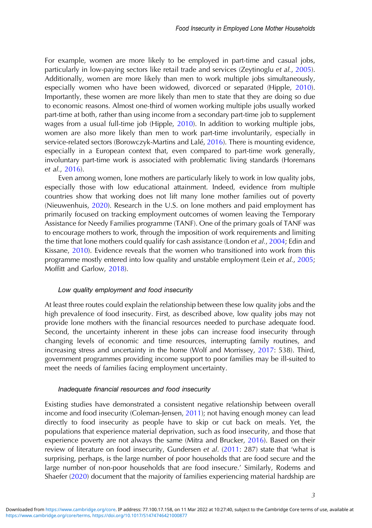For example, women are more likely to be employed in part-time and casual jobs, particularly in low-paying sectors like retail trade and services (Zeytinoglu et al., [2005\)](#page-17-0). Additionally, women are more likely than men to work multiple jobs simultaneously, especially women who have been widowed, divorced or separated (Hipple, [2010\)](#page-15-0). Importantly, these women are more likely than men to state that they are doing so due to economic reasons. Almost one-third of women working multiple jobs usually worked part-time at both, rather than using income from a secondary part-time job to supplement wages from a usual full-time job (Hipple, [2010\)](#page-15-0). In addition to working multiple jobs, women are also more likely than men to work part-time involuntarily, especially in service-related sectors (Borowczyk-Martins and Lalé, [2016\)](#page-14-0). There is mounting evidence, especially in a European context that, even compared to part-time work generally, involuntary part-time work is associated with problematic living standards (Horemans et al., [2016\)](#page-15-0).

Even among women, lone mothers are particularly likely to work in low quality jobs, especially those with low educational attainment. Indeed, evidence from multiple countries show that working does not lift many lone mother families out of poverty (Nieuwenhuis, [2020\)](#page-16-0). Research in the U.S. on lone mothers and paid employment has primarily focused on tracking employment outcomes of women leaving the Temporary Assistance for Needy Families programme (TANF). One of the primary goals of TANF was to encourage mothers to work, through the imposition of work requirements and limiting the time that lone mothers could qualify for cash assistance (London et al., [2004](#page-16-0); Edin and Kissane, [2010\)](#page-15-0). Evidence reveals that the women who transitioned into work from this programme mostly entered into low quality and unstable employment (Lein et al., [2005](#page-15-0); Moffitt and Garlow, [2018](#page-16-0)).

#### Low quality employment and food insecurity

At least three routes could explain the relationship between these low quality jobs and the high prevalence of food insecurity. First, as described above, low quality jobs may not provide lone mothers with the financial resources needed to purchase adequate food. Second, the uncertainty inherent in these jobs can increase food insecurity through changing levels of economic and time resources, interrupting family routines, and increasing stress and uncertainty in the home (Wolf and Morrissey, [2017](#page-17-0): 538). Third, government programmes providing income support to poor families may be ill-suited to meet the needs of families facing employment uncertainty.

#### Inadequate financial resources and food insecurity

Existing studies have demonstrated a consistent negative relationship between overall income and food insecurity (Coleman-Jensen, [2011](#page-14-0)); not having enough money can lead directly to food insecurity as people have to skip or cut back on meals. Yet, the populations that experience material deprivation, such as food insecurity, and those that experience poverty are not always the same (Mitra and Brucker, [2016\)](#page-16-0). Based on their review of literature on food insecurity, Gundersen et al. ([2011:](#page-15-0) 287) state that 'what is surprising, perhaps, is the large number of poor households that are food secure and the large number of non-poor households that are food insecure.' Similarly, Rodems and Shaefer [\(2020](#page-16-0)) document that the majority of families experiencing material hardship are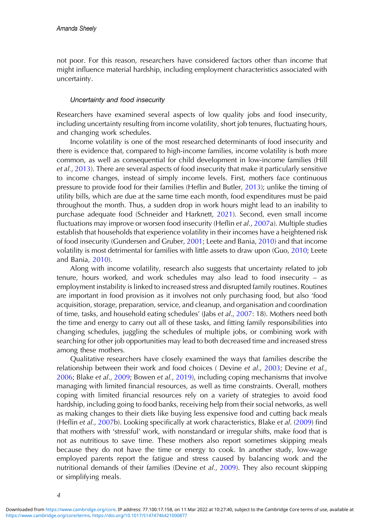not poor. For this reason, researchers have considered factors other than income that might influence material hardship, including employment characteristics associated with uncertainty.

#### Uncertainty and food insecurity

Researchers have examined several aspects of low quality jobs and food insecurity, including uncertainty resulting from income volatility, short job tenures, fluctuating hours, and changing work schedules.

Income volatility is one of the most researched determinants of food insecurity and there is evidence that, compared to high-income families, income volatility is both more common, as well as consequential for child development in low-income families (Hill et al., [2013](#page-15-0)). There are several aspects of food insecurity that make it particularly sensitive to income changes, instead of simply income levels. First, mothers face continuous pressure to provide food for their families (Heflin and Butler, [2013\)](#page-15-0); unlike the timing of utility bills, which are due at the same time each month, food expenditures must be paid throughout the month. Thus, a sudden drop in work hours might lead to an inability to purchase adequate food (Schneider and Harknett, [2021\)](#page-16-0). Second, even small income fluctuations may improve or worsen food insecurity (Heflin et al., [2007](#page-15-0)a). Multiple studies establish that households that experience volatility in their incomes have a heightened risk of food insecurity (Gundersen and Gruber, [2001;](#page-15-0) Leete and Bania, [2010\)](#page-15-0) and that income volatility is most detrimental for families with little assets to draw upon (Guo, [2010](#page-15-0); Leete and Bania, [2010\)](#page-15-0).

Along with income volatility, research also suggests that uncertainty related to job tenure, hours worked, and work schedules may also lead to food insecurity – as employment instability is linked to increased stress and disrupted family routines. Routines are important in food provision as it involves not only purchasing food, but also 'food acquisition, storage, preparation, service, and cleanup, and organisation and coordination of time, tasks, and household eating schedules' (Jabs et al., [2007](#page-15-0): 18). Mothers need both the time and energy to carry out all of these tasks, and fitting family responsibilities into changing schedules, juggling the schedules of multiple jobs, or combining work with searching for other job opportunities may lead to both decreased time and increased stress among these mothers.

Qualitative researchers have closely examined the ways that families describe the relationship between their work and food choices (Devine et al., [2003;](#page-14-0) Devine et al., [2006](#page-15-0); Blake et al., [2009](#page-14-0); Bowen et al., [2019](#page-14-0)), including coping mechanisms that involve managing with limited financial resources, as well as time constraints. Overall, mothers coping with limited financial resources rely on a variety of strategies to avoid food hardship, including going to food banks, receiving help from their social networks, as well as making changes to their diets like buying less expensive food and cutting back meals (Heflin et al., [2007](#page-15-0)b). Looking specifically at work characteristics, Blake et al. [\(2009](#page-14-0)) find that mothers with 'stressful' work, with nonstandard or irregular shifts, make food that is not as nutritious to save time. These mothers also report sometimes skipping meals because they do not have the time or energy to cook. In another study, low-wage employed parents report the fatigue and stress caused by balancing work and the nutritional demands of their families (Devine et al., [2009\)](#page-14-0). They also recount skipping or simplifying meals.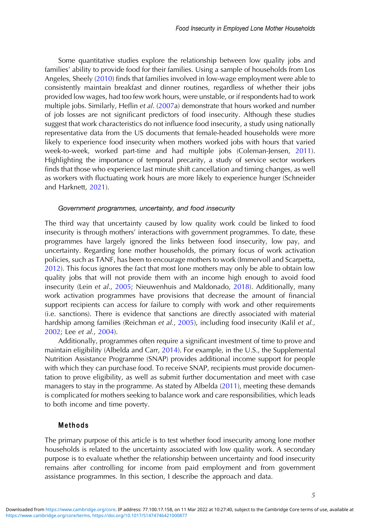Some quantitative studies explore the relationship between low quality jobs and families' ability to provide food for their families. Using a sample of households from Los Angeles, Sheely ([2010\)](#page-16-0) finds that families involved in low-wage employment were able to consistently maintain breakfast and dinner routines, regardless of whether their jobs provided low wages, had too few work hours, were unstable, or if respondents had to work multiple jobs. Similarly, Heflin et al. [\(2007](#page-15-0)a) demonstrate that hours worked and number of job losses are not significant predictors of food insecurity. Although these studies suggest that work characteristics do not influence food insecurity, a study using nationally representative data from the US documents that female-headed households were more likely to experience food insecurity when mothers worked jobs with hours that varied week-to-week, worked part-time and had multiple jobs (Coleman-Jensen, [2011\)](#page-14-0). Highlighting the importance of temporal precarity, a study of service sector workers finds that those who experience last minute shift cancellation and timing changes, as well as workers with fluctuating work hours are more likely to experience hunger (Schneider and Harknett, [2021\)](#page-16-0).

## Government programmes, uncertainty, and food insecurity

The third way that uncertainty caused by low quality work could be linked to food insecurity is through mothers' interactions with government programmes. To date, these programmes have largely ignored the links between food insecurity, low pay, and uncertainty. Regarding lone mother households, the primary focus of work activation policies, such as TANF, has been to encourage mothers to work (Immervoll and Scarpetta, [2012](#page-15-0)). This focus ignores the fact that most lone mothers may only be able to obtain low quality jobs that will not provide them with an income high enough to avoid food insecurity (Lein et al., [2005;](#page-15-0) Nieuwenhuis and Maldonado, [2018\)](#page-16-0). Additionally, many work activation programmes have provisions that decrease the amount of financial support recipients can access for failure to comply with work and other requirements (i.e. sanctions). There is evidence that sanctions are directly associated with material hardship among families (Reichman et al., [2005](#page-16-0)), including food insecurity (Kalil et al., [2002](#page-15-0); Lee et al., [2004](#page-15-0)).

Additionally, programmes often require a significant investment of time to prove and maintain eligibility (Albelda and Carr, [2014\)](#page-14-0). For example, in the U.S., the Supplemental Nutrition Assistance Programme (SNAP) provides additional income support for people with which they can purchase food. To receive SNAP, recipients must provide documentation to prove eligibility, as well as submit further documentation and meet with case managers to stay in the programme. As stated by Albelda [\(2011](#page-14-0)), meeting these demands is complicated for mothers seeking to balance work and care responsibilities, which leads to both income and time poverty.

#### Methods

The primary purpose of this article is to test whether food insecurity among lone mother households is related to the uncertainty associated with low quality work. A secondary purpose is to evaluate whether the relationship between uncertainty and food insecurity remains after controlling for income from paid employment and from government assistance programmes. In this section, I describe the approach and data.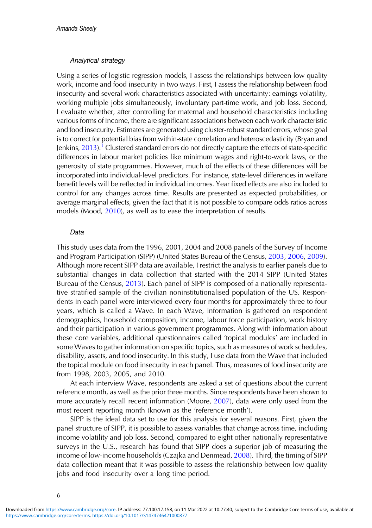### Analytical strategy

Using a series of logistic regression models, I assess the relationships between low quality work, income and food insecurity in two ways. First, I assess the relationship between food insecurity and several work characteristics associated with uncertainty: earnings volatility, working multiple jobs simultaneously, involuntary part-time work, and job loss. Second, I evaluate whether, after controlling for maternal and household characteristics including various forms of income, there are significant associations between each work characteristic and food insecurity. Estimates are generated using cluster-robust standard errors, whose goal is to correct for potential bias from within-state correlation and heteroscedasticity (Bryan and Jenkins,  $2013$  $2013$  $2013$ ).<sup>1</sup> Clustered standard errors do not directly capture the effects of state-specific differences in labour market policies like minimum wages and right-to-work laws, or the generosity of state programmes. However, much of the effects of these differences will be incorporated into individual-level predictors. For instance, state-level differences in welfare benefit levels will be reflected in individual incomes. Year fixed effects are also included to control for any changes across time. Results are presented as expected probabilities, or average marginal effects, given the fact that it is not possible to compare odds ratios across models (Mood, [2010](#page-16-0)), as well as to ease the interpretation of results.

#### Data

This study uses data from the 1996, 2001, 2004 and 2008 panels of the Survey of Income and Program Participation (SIPP) (United States Bureau of the Census, [2003,](#page-16-0) [2006,](#page-17-0) [2009\)](#page-17-0). Although more recent SIPP data are available, I restrict the analysis to earlier panels due to substantial changes in data collection that started with the 2014 SIPP (United States Bureau of the Census, [2013\)](#page-17-0). Each panel of SIPP is composed of a nationally representative stratified sample of the civilian noninstitutionalised population of the US. Respondents in each panel were interviewed every four months for approximately three to four years, which is called a Wave. In each Wave, information is gathered on respondent demographics, household composition, income, labour force participation, work history and their participation in various government programmes. Along with information about these core variables, additional questionnaires called 'topical modules' are included in some Waves to gather information on specific topics, such as measures of work schedules, disability, assets, and food insecurity. In this study, I use data from the Wave that included the topical module on food insecurity in each panel. Thus, measures of food insecurity are from 1998, 2003, 2005, and 2010.

At each interview Wave, respondents are asked a set of questions about the current reference month, as well as the prior three months. Since respondents have been shown to more accurately recall recent information (Moore, [2007\)](#page-16-0), data were only used from the most recent reporting month (known as the 'reference month').

SIPP is the ideal data set to use for this analysis for several reasons. First, given the panel structure of SIPP, it is possible to assess variables that change across time, including income volatility and job loss. Second, compared to eight other nationally representative surveys in the U.S., research has found that SIPP does a superior job of measuring the income of low-income households (Czajka and Denmead, [2008](#page-14-0)). Third, the timing of SIPP data collection meant that it was possible to assess the relationship between low quality jobs and food insecurity over a long time period.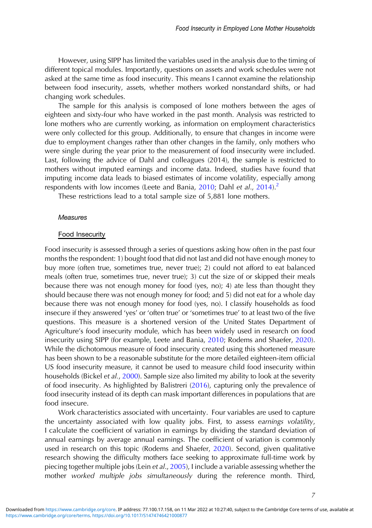However, using SIPP has limited the variables used in the analysis due to the timing of different topical modules. Importantly, questions on assets and work schedules were not asked at the same time as food insecurity. This means I cannot examine the relationship between food insecurity, assets, whether mothers worked nonstandard shifts, or had changing work schedules.

The sample for this analysis is composed of lone mothers between the ages of eighteen and sixty-four who have worked in the past month. Analysis was restricted to lone mothers who are currently working, as information on employment characteristics were only collected for this group. Additionally, to ensure that changes in income were due to employment changes rather than other changes in the family, only mothers who were single during the year prior to the measurement of food insecurity were included. Last, following the advice of Dahl and colleagues (2014), the sample is restricted to mothers without imputed earnings and income data. Indeed, studies have found that imputing income data leads to biased estimates of income volatility, especially among respondents with low incomes (Leete and Bania,  $2010$ ; Dahl et al.,  $2014$ ).<sup>2</sup>

These restrictions lead to a total sample size of 5,881 lone mothers.

#### **Measures**

#### Food Insecurity

Food insecurity is assessed through a series of questions asking how often in the past four months the respondent: 1) bought food that did not last and did not have enough money to buy more (often true, sometimes true, never true); 2) could not afford to eat balanced meals (often true, sometimes true, never true); 3) cut the size of or skipped their meals because there was not enough money for food (yes, no); 4) ate less than thought they should because there was not enough money for food; and 5) did not eat for a whole day because there was not enough money for food (yes, no). I classify households as food insecure if they answered 'yes' or 'often true' or 'sometimes true' to at least two of the five questions. This measure is a shortened version of the United States Department of Agriculture's food insecurity module, which has been widely used in research on food insecurity using SIPP (for example, Leete and Bania, [2010;](#page-15-0) Rodems and Shaefer, [2020\)](#page-16-0). While the dichotomous measure of food insecurity created using this shortened measure has been shown to be a reasonable substitute for the more detailed eighteen-item official US food insecurity measure, it cannot be used to measure child food insecurity within households (Bickel et al., [2000](#page-14-0)). Sample size also limited my ability to look at the severity of food insecurity. As highlighted by Balistreri [\(2016](#page-14-0)), capturing only the prevalence of food insecurity instead of its depth can mask important differences in populations that are food insecure.

Work characteristics associated with uncertainty. Four variables are used to capture the uncertainty associated with low quality jobs. First, to assess earnings volatility, I calculate the coefficient of variation in earnings by dividing the standard deviation of annual earnings by average annual earnings. The coefficient of variation is commonly used in research on this topic (Rodems and Shaefer, [2020](#page-16-0)). Second, given qualitative research showing the difficulty mothers face seeking to approximate full-time work by piecing together multiple jobs (Lein et al., [2005\)](#page-15-0), I include a variable assessing whether the mother worked multiple jobs simultaneously during the reference month. Third,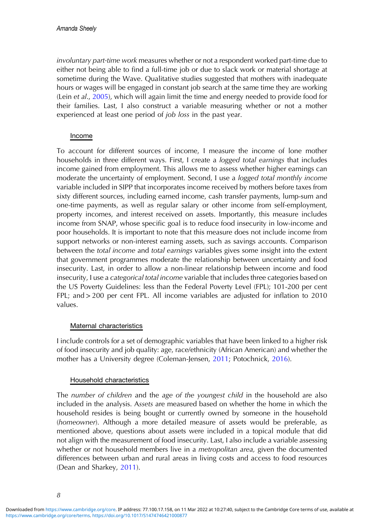involuntary part-time work measures whether or not a respondent worked part-time due to either not being able to find a full-time job or due to slack work or material shortage at sometime during the Wave. Qualitative studies suggested that mothers with inadequate hours or wages will be engaged in constant job search at the same time they are working (Lein et al., [2005\)](#page-15-0), which will again limit the time and energy needed to provide food for their families. Last, I also construct a variable measuring whether or not a mother experienced at least one period of job loss in the past year.

## Income

To account for different sources of income, I measure the income of lone mother households in three different ways. First, I create a *logged total earnings* that includes income gained from employment. This allows me to assess whether higher earnings can moderate the uncertainty of employment. Second, I use a logged total monthly income variable included in SIPP that incorporates income received by mothers before taxes from sixty different sources, including earned income, cash transfer payments, lump-sum and one-time payments, as well as regular salary or other income from self-employment, property incomes, and interest received on assets. Importantly, this measure includes income from SNAP, whose specific goal is to reduce food insecurity in low-income and poor households. It is important to note that this measure does not include income from support networks or non-interest earning assets, such as savings accounts. Comparison between the total income and total earnings variables gives some insight into the extent that government programmes moderate the relationship between uncertainty and food insecurity. Last, in order to allow a non-linear relationship between income and food insecurity, I use a categorical total income variable that includes three categories based on the US Poverty Guidelines: less than the Federal Poverty Level (FPL); 101-200 per cent FPL; and > 200 per cent FPL. All income variables are adjusted for inflation to 2010 values.

# Maternal characteristics

I include controls for a set of demographic variables that have been linked to a higher risk of food insecurity and job quality: age, race/ethnicity (African American) and whether the mother has a University degree (Coleman-Jensen, [2011](#page-14-0); Potochnick, [2016\)](#page-16-0).

# Household characteristics

The number of children and the age of the youngest child in the household are also included in the analysis. Assets are measured based on whether the home in which the household resides is being bought or currently owned by someone in the household (homeowner). Although a more detailed measure of assets would be preferable, as mentioned above, questions about assets were included in a topical module that did not align with the measurement of food insecurity. Last, I also include a variable assessing whether or not household members live in a *metropolitan area*, given the documented differences between urban and rural areas in living costs and access to food resources (Dean and Sharkey, [2011\)](#page-14-0).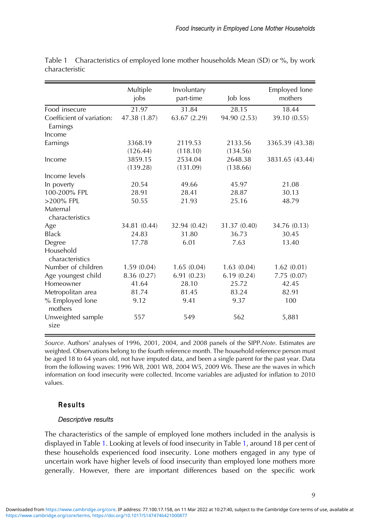|                                       | Multiple            | Involuntary         |                     | Employed lone   |
|---------------------------------------|---------------------|---------------------|---------------------|-----------------|
|                                       | jobs                | part-time           | Job loss            | mothers         |
| Food insecure                         | 21.97               | 31.84               | 28.15               | 18.44           |
| Coefficient of variation:<br>Earnings | 47.38 (1.87)        | 63.67 (2.29)        | 94.90 (2.53)        | 39.10 (0.55)    |
| Income                                |                     |                     |                     |                 |
| Earnings                              | 3368.19<br>(126.44) | 2119.53<br>(118.10) | 2133.56<br>(134.56) | 3365.39 (43.38) |
| Income                                | 3859.15<br>(139.28) | 2534.04<br>(131.09) | 2648.38<br>(138.66) | 3831.65 (43.44) |
| Income levels                         |                     |                     |                     |                 |
| In poverty                            | 20.54               | 49.66               | 45.97               | 21.08           |
| 100-200% FPL                          | 28.91               | 28.41               | 28.87               | 30.13           |
| $>200\%$ FPL                          | 50.55               | 21.93               | 25.16               | 48.79           |
| Maternal<br>characteristics           |                     |                     |                     |                 |
| Age                                   | 34.81 (0.44)        | 32.94 (0.42)        | 31.37 (0.40)        | 34.76 (0.13)    |
| <b>Black</b>                          | 24.83               | 31.80               | 36.73               | 30.45           |
| Degree                                | 17.78               | 6.01                | 7.63                | 13.40           |
| Household<br>characteristics          |                     |                     |                     |                 |
| Number of children                    | 1.59(0.04)          | 1.65(0.04)          | 1.63(0.04)          | 1.62(0.01)      |
| Age youngest child                    | 8.36 (0.27)         | 6.91(0.23)          | 6.19(0.24)          | 7.75(0.07)      |
| Homeowner                             | 41.64               | 28.10               | 25.72               | 42.45           |
| Metropolitan area                     | 81.74               | 81.45               | 83.24               | 82.91           |
| % Employed lone<br>mothers            | 9.12                | 9.41                | 9.37                | 100             |
| Unweighted sample<br>size             | 557                 | 549                 | 562                 | 5,881           |

<span id="page-8-0"></span>Table 1 Characteristics of employed lone mother households Mean (SD) or %, by work characteristic

Source. Authors' analyses of 1996, 2001, 2004, and 2008 panels of the SIPP.Note. Estimates are weighted. Observations belong to the fourth reference month. The household reference person must be aged 18 to 64 years old, not have imputed data, and been a single parent for the past year. Data from the following waves: 1996 W8, 2001 W8, 2004 W5, 2009 W6. These are the waves in which information on food insecurity were collected. Income variables are adjusted for inflation to 2010 values.

# Results

## Descriptive results

The characteristics of the sample of employed lone mothers included in the analysis is displayed in Table 1. Looking at levels of food insecurity in Table 1, around 18 per cent of these households experienced food insecurity. Lone mothers engaged in any type of uncertain work have higher levels of food insecurity than employed lone mothers more generally. However, there are important differences based on the specific work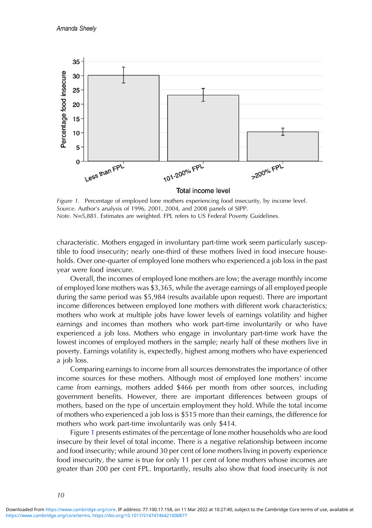

Figure 1. Percentage of employed lone mothers experiencing food insecurity, by income level. Source. Author's analysis of 1996, 2001, 2004, and 2008 panels of SIPP. Note. N=5,881. Estimates are weighted. FPL refers to US Federal Poverty Guidelines.

characteristic. Mothers engaged in involuntary part-time work seem particularly susceptible to food insecurity; nearly one-third of these mothers lived in food insecure households. Over one-quarter of employed lone mothers who experienced a job loss in the past year were food insecure.

Overall, the incomes of employed lone mothers are low; the average monthly income of employed lone mothers was \$3,365, while the average earnings of all employed people during the same period was \$5,984 (results available upon request). There are important income differences between employed lone mothers with different work characteristics; mothers who work at multiple jobs have lower levels of earnings volatility and higher earnings and incomes than mothers who work part-time involuntarily or who have experienced a job loss. Mothers who engage in involuntary part-time work have the lowest incomes of employed mothers in the sample; nearly half of these mothers live in poverty. Earnings volatility is, expectedly, highest among mothers who have experienced a job loss.

Comparing earnings to income from all sources demonstrates the importance of other income sources for these mothers. Although most of employed lone mothers' income came from earnings, mothers added \$466 per month from other sources, including government benefits. However, there are important differences between groups of mothers, based on the type of uncertain employment they hold. While the total income of mothers who experienced a job loss is \$515 more than their earnings, the difference for mothers who work part-time involuntarily was only \$414.

Figure 1 presents estimates of the percentage of lone mother households who are food insecure by their level of total income. There is a negative relationship between income and food insecurity; while around 30 per cent of lone mothers living in poverty experience food insecurity, the same is true for only 11 per cent of lone mothers whose incomes are greater than 200 per cent FPL. Importantly, results also show that food insecurity is not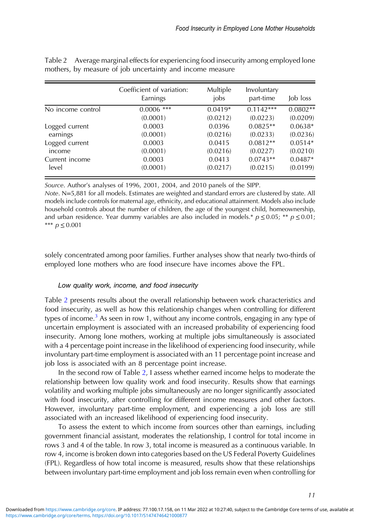|                         | Coefficient of variation:<br>Earnings | Multiple<br>jobs | Involuntary<br>part-time | Job loss   |
|-------------------------|---------------------------------------|------------------|--------------------------|------------|
| No income control       | $0.0006$ ***                          | $0.0419*$        | $0.1142***$              | $0.0802**$ |
|                         | (0.0001)                              | (0.0212)         | (0.0223)                 | (0.0209)   |
| Logged current          | 0.0003                                | 0.0396           | $0.0825**$               | $0.0638*$  |
| earnings                | (0.0001)                              | (0.0216)         | (0.0233)                 | (0.0236)   |
| Logged current          | 0.0003                                | 0.0415           | $0.0812**$               | $0.0514*$  |
| income                  | (0.0001)                              | (0.0216)         | (0.0227)                 | (0.0210)   |
| Current income<br>level | 0.0003                                | 0.0413           | $0.0743**$               | $0.0487*$  |
|                         | (0.0001)                              | (0.0217)         | (0.0215)                 | (0.0199)   |

Table 2 Average marginal effects for experiencing food insecurity among employed lone mothers, by measure of job uncertainty and income measure

Source. Author's analyses of 1996, 2001, 2004, and 2010 panels of the SIPP.

Note. N=5,881 for all models. Estimates are weighted and standard errors are clustered by state. All models include controls for maternal age, ethnicity, and educational attainment. Models also include household controls about the number of children, the age of the youngest child, homeownership, and urban residence. Year dummy variables are also included in models.\*  $p \le 0.05$ ; \*\*  $p \le 0.01$ ; \*\*\*  $p \le 0.001$ 

solely concentrated among poor families. Further analyses show that nearly two-thirds of employed lone mothers who are food insecure have incomes above the FPL.

# Low quality work, income, and food insecurity

Table 2 presents results about the overall relationship between work characteristics and food insecurity, as well as how this relationship changes when controlling for different types of income.<sup>[3](#page-13-0)</sup> As seen in row 1, without any income controls, engaging in any type of uncertain employment is associated with an increased probability of experiencing food insecurity. Among lone mothers, working at multiple jobs simultaneously is associated with a 4 percentage point increase in the likelihood of experiencing food insecurity, while involuntary part-time employment is associated with an 11 percentage point increase and job loss is associated with an 8 percentage point increase.

In the second row of Table 2, I assess whether earned income helps to moderate the relationship between low quality work and food insecurity. Results show that earnings volatility and working multiple jobs simultaneously are no longer significantly associated with food insecurity, after controlling for different income measures and other factors. However, involuntary part-time employment, and experiencing a job loss are still associated with an increased likelihood of experiencing food insecurity.

To assess the extent to which income from sources other than earnings, including government financial assistant, moderates the relationship, I control for total income in rows 3 and 4 of the table. In row 3, total income is measured as a continuous variable. In row 4, income is broken down into categories based on the US Federal Poverty Guidelines (FPL). Regardless of how total income is measured, results show that these relationships between involuntary part-time employment and job loss remain even when controlling for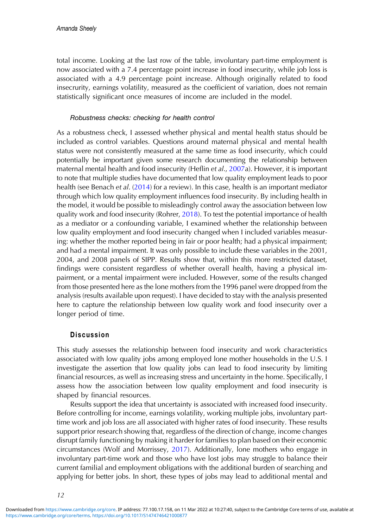total income. Looking at the last row of the table, involuntary part-time employment is now associated with a 7.4 percentage point increase in food insecurity, while job loss is associated with a 4.9 percentage point increase. Although originally related to food insecrurity, earnings volatility, measured as the coefficient of variation, does not remain statistically significant once measures of income are included in the model.

## Robustness checks: checking for health control

As a robustness check, I assessed whether physical and mental health status should be included as control variables. Questions around maternal physical and mental health status were not consistently measured at the same time as food insecurity, which could potentially be important given some research documenting the relationship between maternal mental health and food insecurity (Heflin et al., [2007a](#page-15-0)). However, it is important to note that multiple studies have documented that low quality employment leads to poor health (see Benach et al. ([2014\)](#page-14-0) for a review). In this case, health is an important mediator through which low quality employment influences food insecurity. By including health in the model, it would be possible to misleadingly control away the association between low quality work and food insecurity (Rohrer, [2018](#page-16-0)). To test the potential importance of health as a mediator or a confounding variable, I examined whether the relationship between low quality employment and food insecurity changed when I included variables measuring: whether the mother reported being in fair or poor health; had a physical impairment; and had a mental impairment. It was only possible to include these variables in the 2001, 2004, and 2008 panels of SIPP. Results show that, within this more restricted dataset, findings were consistent regardless of whether overall health, having a physical impairment, or a mental impairment were included. However, some of the results changed from those presented here as the lone mothers from the 1996 panel were dropped from the analysis (results available upon request). I have decided to stay with the analysis presented here to capture the relationship between low quality work and food insecurity over a longer period of time.

# **Discussion**

This study assesses the relationship between food insecurity and work characteristics associated with low quality jobs among employed lone mother households in the U.S. I investigate the assertion that low quality jobs can lead to food insecurity by limiting financial resources, as well as increasing stress and uncertainty in the home. Specifically, I assess how the association between low quality employment and food insecurity is shaped by financial resources.

Results support the idea that uncertainty is associated with increased food insecurity. Before controlling for income, earnings volatility, working multiple jobs, involuntary parttime work and job loss are all associated with higher rates of food insecurity. These results support prior research showing that, regardless of the direction of change, income changes disrupt family functioning by making it harder for families to plan based on their economic circumstances (Wolf and Morrissey, [2017\)](#page-17-0). Additionally, lone mothers who engage in involuntary part-time work and those who have lost jobs may struggle to balance their current familial and employment obligations with the additional burden of searching and applying for better jobs. In short, these types of jobs may lead to additional mental and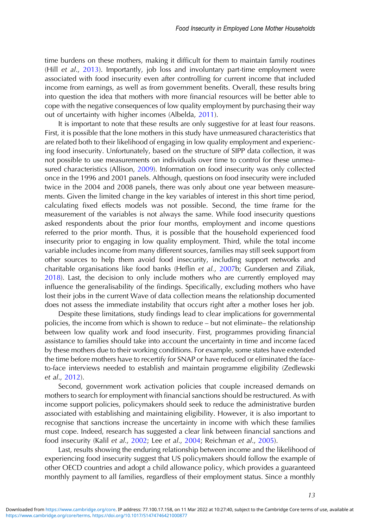time burdens on these mothers, making it difficult for them to maintain family routines (Hill et al., [2013](#page-15-0)). Importantly, job loss and involuntary part-time employment were associated with food insecurity even after controlling for current income that included income from earnings, as well as from government benefits. Overall, these results bring into question the idea that mothers with more financial resources will be better able to cope with the negative consequences of low quality employment by purchasing their way out of uncertainty with higher incomes (Albelda, [2011](#page-14-0)).

It is important to note that these results are only suggestive for at least four reasons. First, it is possible that the lone mothers in this study have unmeasured characteristics that are related both to their likelihood of engaging in low quality employment and experiencing food insecurity. Unfortunately, based on the structure of SIPP data collection, it was not possible to use measurements on individuals over time to control for these unmea-sured characteristics (Allison, [2009](#page-14-0)). Information on food insecurity was only collected once in the 1996 and 2001 panels. Although, questions on food insecurity were included twice in the 2004 and 2008 panels, there was only about one year between measurements. Given the limited change in the key variables of interest in this short time period, calculating fixed effects models was not possible. Second, the time frame for the measurement of the variables is not always the same. While food insecurity questions asked respondents about the prior four months, employment and income questions referred to the prior month. Thus, it is possible that the household experienced food insecurity prior to engaging in low quality employment. Third, while the total income variable includes income from many different sources, families may still seek support from other sources to help them avoid food insecurity, including support networks and charitable organisations like food banks (Heflin et al., [2007](#page-15-0)b; Gundersen and Ziliak, [2018](#page-15-0)). Last, the decision to only include mothers who are currently employed may influence the generalisability of the findings. Specifically, excluding mothers who have lost their jobs in the current Wave of data collection means the relationship documented does not assess the immediate instability that occurs right after a mother loses her job.

Despite these limitations, study findings lead to clear implications for governmental policies, the income from which is shown to reduce – but not eliminate– the relationship between low quality work and food insecurity. First, programmes providing financial assistance to families should take into account the uncertainty in time and income faced by these mothers due to their working conditions. For example, some states have extended the time before mothers have to recertify for SNAP or have reduced or eliminated the faceto-face interviews needed to establish and maintain programme eligibility (Zedlewski et al., [2012\)](#page-17-0).

Second, government work activation policies that couple increased demands on mothers to search for employment with financial sanctions should be restructured. As with income support policies, policymakers should seek to reduce the administrative burden associated with establishing and maintaining eligibility. However, it is also important to recognise that sanctions increase the uncertainty in income with which these families must cope. Indeed, research has suggested a clear link between financial sanctions and food insecurity (Kalil et al., [2002](#page-15-0); Lee et al., [2004;](#page-15-0) Reichman et al., [2005](#page-16-0)).

Last, results showing the enduring relationship between income and the likelihood of experiencing food insecurity suggest that US policymakers should follow the example of other OECD countries and adopt a child allowance policy, which provides a guaranteed monthly payment to all families, regardless of their employment status. Since a monthly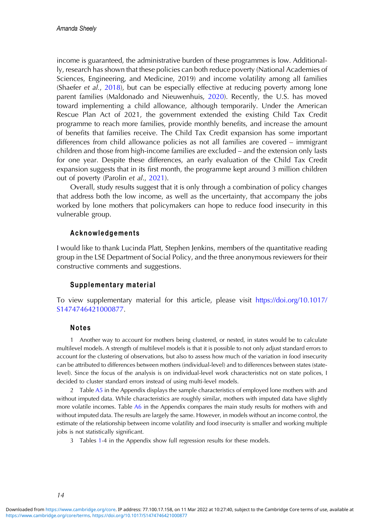<span id="page-13-0"></span>income is guaranteed, the administrative burden of these programmes is low. Additionally, research has shown that these policies can both reduce poverty (National Academies of Sciences, Engineering, and Medicine, 2019) and income volatility among all families (Shaefer et al., [2018\)](#page-16-0), but can be especially effective at reducing poverty among lone parent families (Maldonado and Nieuwenhuis, [2020](#page-16-0)). Recently, the U.S. has moved toward implementing a child allowance, although temporarily. Under the American Rescue Plan Act of 2021, the government extended the existing Child Tax Credit programme to reach more families, provide monthly benefits, and increase the amount of benefits that families receive. The Child Tax Credit expansion has some important differences from child allowance policies as not all families are covered – immigrant children and those from high-income families are excluded – and the extension only lasts for one year. Despite these differences, an early evaluation of the Child Tax Credit expansion suggests that in its first month, the programme kept around 3 million children out of poverty (Parolin et al., [2021\)](#page-16-0).

Overall, study results suggest that it is only through a combination of policy changes that address both the low income, as well as the uncertainty, that accompany the jobs worked by lone mothers that policymakers can hope to reduce food insecurity in this vulnerable group.

#### Acknowledgements

I would like to thank Lucinda Platt, Stephen Jenkins, members of the quantitative reading group in the LSE Department of Social Policy, and the three anonymous reviewers for their constructive comments and suggestions.

#### Supplementary material

To view supplementary material for this article, please visit [https://doi.org/10.1017/](https://doi.org/10.1017/S1474746421000877) [S1474746421000877](https://doi.org/10.1017/S1474746421000877).

#### Notes

1 Another way to account for mothers being clustered, or nested, in states would be to calculate multilevel models. A strength of multilevel models is that it is possible to not only adjust standard errors to account for the clustering of observations, but also to assess how much of the variation in food insecurity can be attributed to differences between mothers (individual-level) and to differences between states (statelevel). Since the focus of the analysis is on individual-level work characteristics not on state polices, I decided to cluster standard errors instead of using multi-level models.

2 Table [A5](https://doi.org/10.1017/S1474746421000877) in the Appendix displays the sample characteristics of employed lone mothers with and without imputed data. While characteristics are roughly similar, mothers with imputed data have slightly more volatile incomes. Table [A6](https://doi.org/10.1017/S1474746421000877) in the Appendix compares the main study results for mothers with and without imputed data. The results are largely the same. However, in models without an income control, the estimate of the relationship between income volatility and food insecurity is smaller and working multiple jobs is not statistically significant.

3 Tables [1-](#page-8-0)4 in the Appendix show full regression results for these models.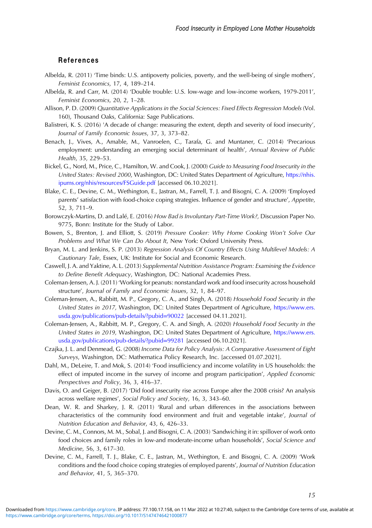#### <span id="page-14-0"></span>References

- Albelda, R. (2011) 'Time binds: U.S. antipoverty policies, poverty, and the well-being of single mothers', Feminist Economics, 17, 4, 189–214.
- Albelda, R. and Carr, M. (2014) 'Double trouble: U.S. low-wage and low-income workers, 1979-2011', Feminist Economics, 20, 2, 1–28.
- Allison, P. D. (2009) Quantitative Applications in the Social Sciences: Fixed Effects Regression Models (Vol. 160), Thousand Oaks, California: Sage Publications.
- Balistreri, K. S. (2016) 'A decade of change: measuring the extent, depth and severity of food insecurity', Journal of Family Economic Issues, 37, 3, 373–82.
- Benach, J., Vives, A., Amable, M., Vanroelen, C., Tarafa, G. and Muntaner, C. (2014) 'Precarious employment: understanding an emerging social determinant of health', Annual Review of Public Health, 35, 229–53.
- Bickel, G., Nord, M., Price, C., Hamilton, W. and Cook, J. (2000) Guide to Measuring Food Insecurity in the United States: Revised 2000, Washington, DC: United States Department of Agriculture, [https://nhis.](https://nhis.ipums.org/nhis/resources/FSGuide.pdf) [ipums.org/nhis/resources/FSGuide.pdf](https://nhis.ipums.org/nhis/resources/FSGuide.pdf) [accessed 06.10.2021].
- Blake, C. E., Devine, C. M., Wethington, E., Jastran, M., Farrell, T. J. and Bisogni, C. A. (2009) 'Employed parents' satisfaction with food-choice coping strategies. Influence of gender and structure', Appetite, 52, 3, 711–9.
- Borowczyk-Martins, D. and Lalé, E. (2016) How Bad is Involuntary Part-Time Work?, Discussion Paper No. 9775, Bonn: Institute for the Study of Labor.
- Bowen, S., Brenton, J. and Elliott, S. (2019) Pressure Cooker: Why Home Cooking Won't Solve Our Problems and What We Can Do About It, New York: Oxford University Press.
- Bryan, M. L. and Jenkins, S. P. (2013) Regression Analysis Of Country Effects Using Multilevel Models: A Cautionary Tale, Essex, UK: Institute for Social and Economic Research.
- Caswell, J. A. and Yaktine, A. L. (2013) Supplemental Nutrition Assistance Program: Examining the Evidence to Define Benefit Adequacy, Washington, DC: National Academies Press.
- Coleman-Jensen, A. J. (2011) 'Working for peanuts: nonstandard work and food insecurity across household structure', Journal of Family and Economic Issues, 32, 1, 84–97.
- Coleman-Jensen, A., Rabbitt, M. P., Gregory, C. A., and Singh, A. (2018) Household Food Security in the United States in 2017, Washington, DC: United States Department of Agriculture, [https://www.ers.](https://www.ers.usda.gov/publications/pub-details/?pubid=90022) [usda.gov/publications/pub-details/?pubid](https://www.ers.usda.gov/publications/pub-details/?pubid=90022)=[90022](https://www.ers.usda.gov/publications/pub-details/?pubid=90022) [accessed 04.11.2021].
- Coleman-Jensen, A., Rabbitt, M. P., Gregory, C. A. and Singh, A. (2020) Household Food Security in the United States in 2019, Washington, DC: United States Department of Agriculture, [https://www.ers.](https://www.ers.usda.gov/publications/pub-details/?pubid=99281) [usda.gov/publications/pub-details/?pubid](https://www.ers.usda.gov/publications/pub-details/?pubid=99281)=[99281](https://www.ers.usda.gov/publications/pub-details/?pubid=99281) [accessed 06.10.2021].
- Czajka, J. L. and Denmead, G. (2008) Income Data for Policy Analysis: A Comparative Assessment of Eight Surveys, Washington, DC: Mathematica Policy Research, Inc. [accessed 01.07.2021].
- Dahl, M., DeLeire, T. and Mok, S. (2014) 'Food insufficiency and income volatility in US households: the effect of imputed income in the survey of income and program participation', Applied Economic Perspectives and Policy, 36, 3, 416–37.
- Davis, O. and Geiger, B. (2017) 'Did food insecurity rise across Europe after the 2008 crisis? An analysis across welfare regimes', Social Policy and Society, 16, 3, 343–60.
- Dean, W. R. and Sharkey, J. R. (2011) 'Rural and urban differences in the associations between characteristics of the community food environment and fruit and vegetable intake', Journal of Nutrition Education and Behavior, 43, 6, 426–33.
- Devine, C. M., Connors, M. M., Sobal, J. and Bisogni, C. A. (2003) 'Sandwiching it in: spillover of work onto food choices and family roles in low-and moderate-income urban households', Social Science and Medicine, 56, 3, 617–30.
- Devine, C. M., Farrell, T. J., Blake, C. E., Jastran, M., Wethington, E. and Bisogni, C. A. (2009) 'Work conditions and the food choice coping strategies of employed parents', Journal of Nutrition Education and Behavior, 41, 5, 365–370.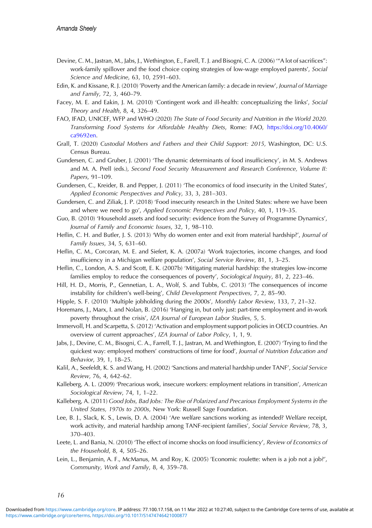- <span id="page-15-0"></span>Devine, C. M., Jastran, M., Jabs, J., Wethington, E., Farell, T. J. and Bisogni, C. A. (2006) '"A lot of sacrifices": work-family spillover and the food choice coping strategies of low-wage employed parents', Social Science and Medicine, 63, 10, 2591–603.
- Edin, K. and Kissane, R. J. (2010) 'Poverty and the American family: a decade in review', Journal of Marriage and Family, 72, 3, 460–79.
- Facey, M. E. and Eakin, J. M. (2010) 'Contingent work and ill-health: conceptualizing the links', Social Theory and Health, 8, 4, 326–49.
- FAO, IFAD, UNICEF, WFP and WHO (2020) The State of Food Security and Nutrition in the World 2020. Transforming Food Systems for Affordable Healthy Diets, Rome: FAO, [https://doi.org/10.4060/](https://doi.org/10.4060/ca9692en) [ca9692en](https://doi.org/10.4060/ca9692en).
- Grall, T. (2020) Custodial Mothers and Fathers and their Child Support: 2015, Washington, DC: U.S. Census Bureau.
- Gundersen, C. and Gruber, J. (2001) 'The dynamic determinants of food insufficiency', in M. S. Andrews and M. A. Prell (eds.), Second Food Security Measurement and Research Conference, Volume II: Papers, 91–109.
- Gundersen, C., Kreider, B. and Pepper, J. (2011) 'The economics of food insecurity in the United States', Applied Economic Perspectives and Policy, 33, 3, 281–303.
- Gundersen, C. and Ziliak, J. P. (2018) 'Food insecurity research in the United States: where we have been and where we need to go', Applied Economic Perspectives and Policy, 40, 1, 119–35.
- Guo, B. (2010) 'Household assets and food security: evidence from the Survey of Programme Dynamics', Journal of Family and Economic Issues, 32, 1, 98–110.
- Heflin, C. H. and Butler, J. S. (2013) 'Why do women enter and exit from material hardship?', Journal of Family Issues, 34, 5, 631–60.
- Heflin, C. M., Corcoran, M. E. and Siefert, K. A. (2007a) 'Work trajectories, income changes, and food insufficiency in a Michigan welfare population', Social Service Review, 81, 1, 3–25.
- Heflin, C., London, A. S. and Scott, E. K. (2007b) 'Mitigating material hardship: the strategies low-income families employ to reduce the consequences of poverty', Sociological Inquiry, 81, 2, 223–46.
- Hill, H. D., Morris, P., Gennetian, L. A., Wolf, S. and Tubbs, C. (2013) 'The consequences of income instability for children's well-being', Child Development Perspectives, 7, 2, 85–90.
- Hipple, S. F. (2010) 'Multiple jobholding during the 2000s', Monthly Labor Review, 133, 7, 21–32.
- Horemans, J., Marx, I. and Nolan, B. (2016) 'Hanging in, but only just: part-time employment and in-work poverty throughout the crisis', IZA Journal of European Labor Studies, 5, 5.
- Immervoll, H. and Scarpetta, S. (2012) 'Activation and employment support policies in OECD countries. An overview of current approaches', IZA Journal of Labor Policy, 1, 1, 9.
- Jabs, J., Devine, C. M., Bisogni, C. A., Farrell, T. J., Jastran, M. and Wethington, E. (2007) 'Trying to find the quickest way: employed mothers' constructions of time for food', Journal of Nutrition Education and Behavior, 39, 1, 18–25.
- Kalil, A., Seefeldt, K. S. and Wang, H. (2002) 'Sanctions and material hardship under TANF', Social Service Review, 76, 4, 642–62.
- Kalleberg, A. L. (2009) 'Precarious work, insecure workers: employment relations in transition', American Sociological Review, 74, 1, 1–22.
- Kalleberg, A. (2011) Good Jobs, Bad Jobs: The Rise of Polarized and Precarious Employment Systems in the United States, 1970s to 2000s, New York: Russell Sage Foundation.
- Lee, B. J., Slack, K. S., Lewis, D. A. (2004) 'Are welfare sanctions working as intended? Welfare receipt, work activity, and material hardship among TANF-recipient families', Social Service Review, 78, 3, 370–403.
- Leete, L. and Bania, N. (2010) 'The effect of income shocks on food insufficiency', Review of Economics of the Household, 8, 4, 505–26.
- Lein, L., Benjamin, A. F., McManus, M. and Roy, K. (2005) 'Economic roulette: when is a job not a job?', Community, Work and Family, 8, 4, 359–78.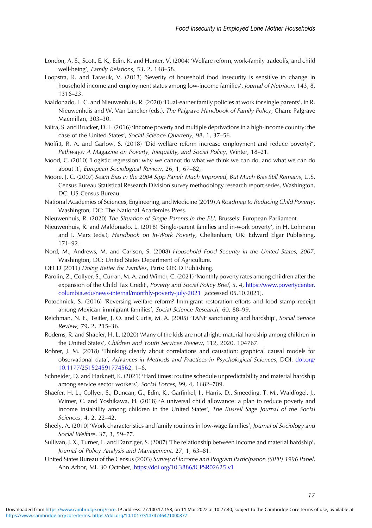- <span id="page-16-0"></span>London, A. S., Scott, E. K., Edin, K. and Hunter, V. (2004) 'Welfare reform, work-family tradeoffs, and child well-being', Family Relations, 53, 2, 148–58.
- Loopstra, R. and Tarasuk, V. (2013) 'Severity of household food insecurity is sensitive to change in household income and employment status among low-income families', Journal of Nutrition, 143, 8, 1316–23.
- Maldonado, L. C. and Nieuwenhuis, R. (2020) 'Dual-earner family policies at work for single parents', in R. Nieuwenhuis and W. Van Lancker (eds.), The Palgrave Handbook of Family Policy, Cham: Palgrave Macmillan, 303–30.
- Mitra, S. and Brucker, D. L. (2016) 'Income poverty and multiple deprivations in a high-income country: the case of the United States', Social Science Quarterly, 98, 1, 37–56.
- Moffitt, R. A. and Garlow, S. (2018) 'Did welfare reform increase employment and reduce poverty?', Pathways: A Magazine on Poverty, Inequality, and Social Policy, Winter, 18–21.
- Mood, C. (2010) 'Logistic regression: why we cannot do what we think we can do, and what we can do about it', European Sociological Review, 26, 1, 67–82,
- Moore, J. C. (2007) Seam Bias in the 2004 Sipp Panel: Much Improved, But Much Bias Still Remains, U.S. Census Bureau Statistical Research Division survey methodology research report series, Washington, DC: US Census Bureau.
- National Academies of Sciences, Engineering, and Medicine (2019) A Roadmap to Reducing Child Poverty, Washington, DC: The National Academies Press.
- Nieuwenhuis, R. (2020) The Situation of Single Parents in the EU, Brussels: European Parliament.
- Nieuwenhuis, R. and Maldonado, L. (2018) 'Single-parent families and in-work poverty', in H. Lohmann and I. Marx (eds.), Handbook on In-Work Poverty, Cheltenham, UK: Edward Elgar Publishing, 171–92.
- Nord, M., Andrews, M. and Carlson, S. (2008) Household Food Security in the United States, 2007, Washington, DC: United States Department of Agriculture.
- OECD (2011) Doing Better for Families, Paris: OECD Publishing.
- Parolin, Z., Collyer, S., Curran, M. A. and Wimer, C. (2021) 'Monthly poverty rates among children after the expansion of the Child Tax Credit', Poverty and Social Policy Brief, 5, 4, [https://www.povertycenter.](https://www.povertycenter.columbia.edu/news-internal/monthly-poverty-july-2021) [columbia.edu/news-internal/monthly-poverty-july-2021](https://www.povertycenter.columbia.edu/news-internal/monthly-poverty-july-2021) [accessed 05.10.2021].
- Potochnick, S. (2016) 'Reversing welfare reform? Immigrant restoration efforts and food stamp receipt among Mexican immigrant families', Social Science Research, 60, 88–99.
- Reichman, N. E., Teitler, J. O. and Curtis, M. A. (2005) 'TANF sanctioning and hardship', Social Service Review, 79, 2, 215–36.
- Rodems, R. and Shaefer, H. L. (2020) 'Many of the kids are not alright: material hardship among children in the United States', Children and Youth Services Review, 112, 2020, 104767.
- Rohrer, J. M. (2018) 'Thinking clearly about correlations and causation: graphical causal models for observational data', Advances in Methods and Practices in Psychological Sciences, DOI: [doi.org/](https://doi.org/doi.org/10.1177/251524591774562) [10.1177/251524591774562](https://doi.org/doi.org/10.1177/251524591774562), 1–6.
- Schneider, D. and Harknett, K. (2021) 'Hard times: routine schedule unpredictability and material hardship among service sector workers', Social Forces, 99, 4, 1682–709.
- Shaefer, H. L., Collyer, S., Duncan, G., Edin, K., Garfinkel, I., Harris, D., Smeeding, T. M., Waldfogel, J., Wimer, C. and Yoshikawa, H. (2018) 'A universal child allowance: a plan to reduce poverty and income instability among children in the United States', The Russell Sage Journal of the Social Sciences, 4, 2, 22–42.
- Sheely, A. (2010) 'Work characteristics and family routines in low-wage families', Journal of Sociology and Social Welfare, 37, 3, 59–77.
- Sullivan, J. X., Turner, L. and Danziger, S. (2007) 'The relationship between income and material hardship', Journal of Policy Analysis and Management, 27, 1, 63–81.
- United States Bureau of the Census (2003) Survey of Income and Program Participation (SIPP) 1996 Panel, Ann Arbor, MI, 30 October, <https://doi.org/10.3886/ICPSR02625.v1>